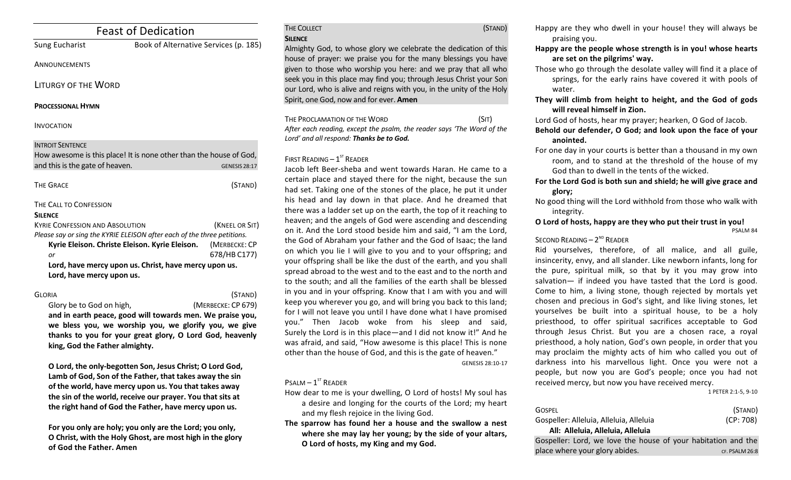| <b>Feast of Dedication</b>                                                                                                       |                      |
|----------------------------------------------------------------------------------------------------------------------------------|----------------------|
| Book of Alternative Services (p. 185)<br><b>Sung Eucharist</b>                                                                   |                      |
| ANNOUNCEMENTS                                                                                                                    |                      |
| <b>LITURGY OF THE WORD</b>                                                                                                       |                      |
| <b>PROCESSIONAL HYMN</b>                                                                                                         |                      |
| <b>INVOCATION</b>                                                                                                                |                      |
| <b>INTROIT SENTENCE</b><br>How awesome is this place! It is none other than the house of God,<br>and this is the gate of heaven. | <b>GENESIS 28:17</b> |
| <b>THE GRACE</b>                                                                                                                 | (STAND)              |
| THE CALL TO CONFESSION<br><b>SILENCE</b>                                                                                         |                      |
| <b>KYRIE CONFESSION AND ABSOLUTION</b>                                                                                           | (KNEEL OR SIT)       |
| Please say or sing the KYRIE ELEISON after each of the three petitions.                                                          |                      |
| Kyrie Eleison. Christe Eleison. Kyrie Eleison.                                                                                   | (MERBECKE: CP        |
| or                                                                                                                               | 678/HB C177)         |
| Lord, have mercy upon us. Christ, have mercy upon us.                                                                            |                      |
| Lord, have mercy upon us.                                                                                                        |                      |

GLORIA (STAND) Glory be to God on high, *(MERBECKE: CP 679)* 

and in earth peace, good will towards men. We praise you, we bless you, we worship you, we glorify you, we give thanks to you for your great glory, O Lord God, heavenly king, God the Father almighty.

**O** Lord, the only-begotten Son, Jesus Christ; O Lord God, Lamb of God, Son of the Father, that takes away the sin of the world, have mercy upon us. You that takes away the sin of the world, receive our prayer. You that sits at the right hand of God the Father, have mercy upon us.

For you only are holy; you only are the Lord; you only, **O** Christ, with the Holy Ghost, are most high in the glory **of God the Father. Amen**

| THE COLLECT                                                      | (STAND) |
|------------------------------------------------------------------|---------|
| <b>SILENCE</b>                                                   |         |
| Almighty God, to whose glory we celebrate the dedication of this |         |
| house of prayer: we praise you for the many blessings you have   |         |

given to those who worship you here: and we pray that all who seek you in this place may find you; through Jesus Christ your Son our Lord, who is alive and reigns with you, in the unity of the Holy Spirit, one God, now and for ever. **Amen** 

THE PROCLAMATION OF THE WORD (SIT) After each reading, except the psalm, the reader says 'The Word of the Lord' and all respond: Thanks be to God.

## **FIRST READING –**  $1^{ST}$  **READER**

Jacob left Beer-sheba and went towards Haran. He came to a certain place and stayed there for the night, because the sun had set. Taking one of the stones of the place, he put it under his head and lay down in that place. And he dreamed that there was a ladder set up on the earth, the top of it reaching to heaven; and the angels of God were ascending and descending on it. And the Lord stood beside him and said, "I am the Lord, the God of Abraham vour father and the God of Isaac; the land on which you lie I will give to you and to your offspring; and your offspring shall be like the dust of the earth, and you shall spread abroad to the west and to the east and to the north and to the south; and all the families of the earth shall be blessed in you and in your offspring. Know that I am with you and will keep you wherever you go, and will bring you back to this land; for I will not leave you until I have done what I have promised you." Then Jacob woke from his sleep and said, Surely the Lord is in this place—and I did not know it!" And he was afraid, and said, "How awesome is this place! This is none other than the house of God, and this is the gate of heaven."

GENESIS 28:10-17

## $P$ SALM –  $1^{ST}$  READER

- How dear to me is your dwelling, O Lord of hosts! My soul has a desire and longing for the courts of the Lord; my heart and my flesh rejoice in the living God.
- The sparrow has found her a house and the swallow a nest where she may lay her young; by the side of your altars, **O** Lord of hosts, my King and my God.
- Happy are they who dwell in your house! they will always be praising you.
- Happy are the people whose strength is in you! whose hearts are set on the pilgrims' way.
- Those who go through the desolate valley will find it a place of springs, for the early rains have covered it with pools of water.
- They will climb from height to height, and the God of gods will reveal himself in Zion.

Lord God of hosts, hear my prayer; hearken, O God of Jacob.

- Behold our defender, O God; and look upon the face of your **anointed.**
- For one day in your courts is better than a thousand in my own room, and to stand at the threshold of the house of my God than to dwell in the tents of the wicked.
- For the Lord God is both sun and shield; he will give grace and **glory;**
- No good thing will the Lord withhold from those who walk with integrity.

# **O** Lord of hosts, happy are they who put their trust in you! PSALM<sub>84</sub>

## SECOND READING  $- 2<sup>ND</sup>$  READER

Rid yourselves, therefore, of all malice, and all guile, insincerity, envy, and all slander. Like newborn infants, long for the pure, spiritual milk, so that by it you may grow into  $salvation$ — if indeed you have tasted that the Lord is good. Come to him, a living stone, though rejected by mortals yet chosen and precious in God's sight, and like living stones, let yourselves be built into a spiritual house, to be a holy priesthood, to offer spiritual sacrifices acceptable to God through Jesus Christ. But you are a chosen race, a royal priesthood, a holy nation, God's own people, in order that you may proclaim the mighty acts of him who called you out of darkness into his marvellous light. Once you were not a people, but now you are God's people; once you had not received mercy, but now you have received mercy.

1 PETER 2:1-5, 9-10

| <b>GOSPEL</b>                                                 | (STAND)   |
|---------------------------------------------------------------|-----------|
| Gospeller: Alleluia, Alleluia, Alleluia                       | (CP: 708) |
| All: Alleluia, Alleluia, Alleluia                             |           |
| Gospeller: Lord, we love the house of your habitation and the |           |

place where your glory abides.  $\frac{1}{2}$  and  $\frac{1}{2}$  cf. PSALM 26:8